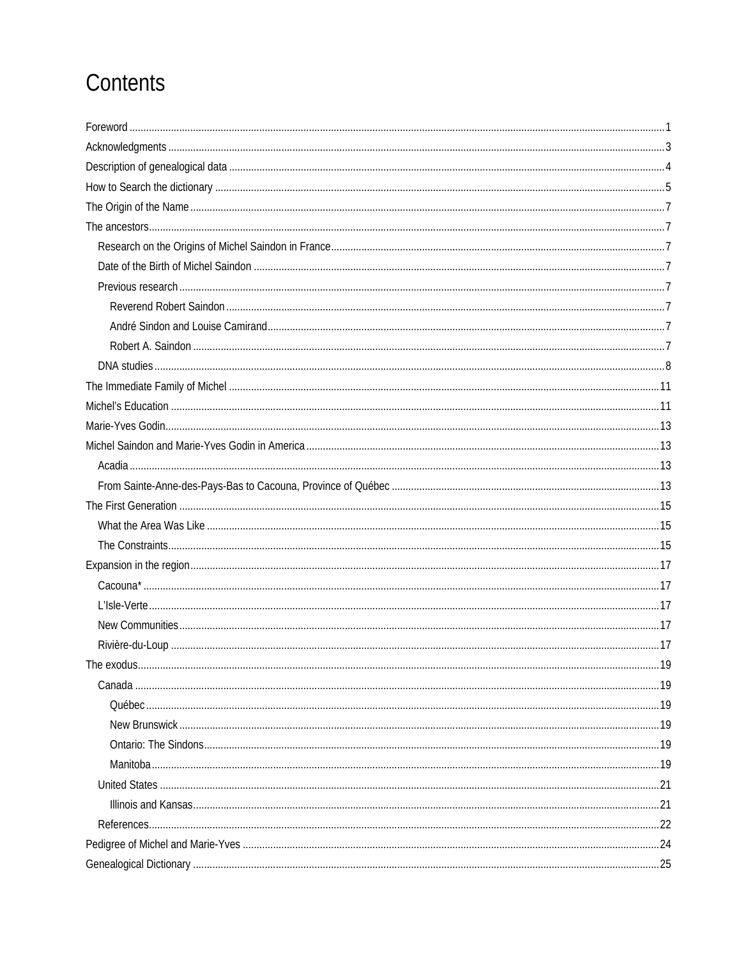# Contents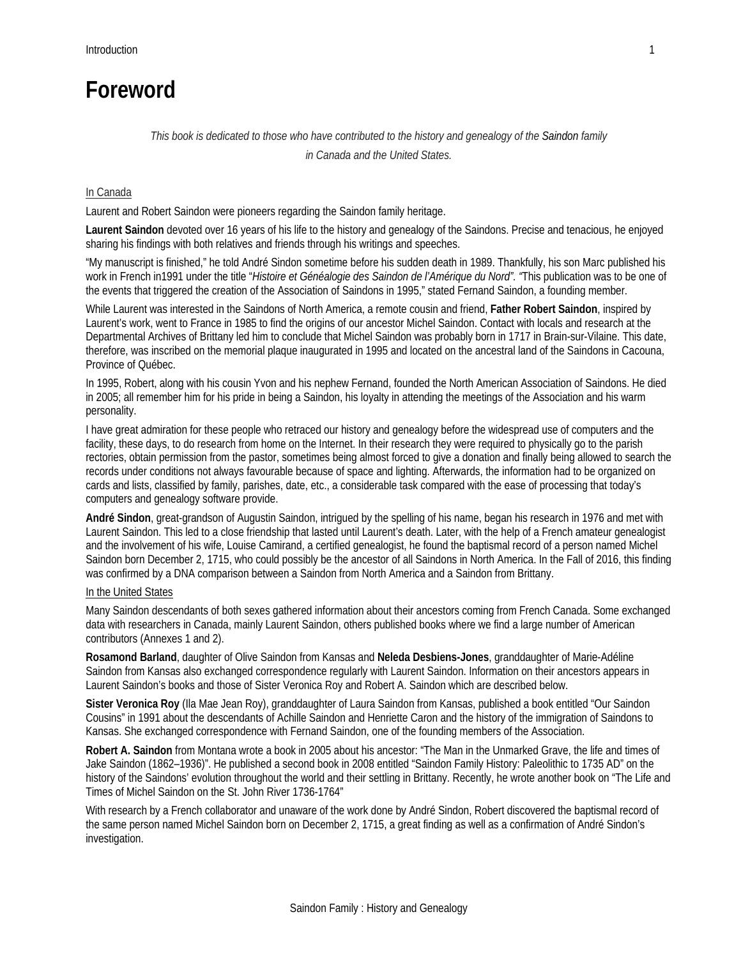### **Foreword**

### *This book is dedicated to those who have contributed to the history and genealogy of the Saindon family in Canada and the United States.*

### In Canada

Laurent and Robert Saindon were pioneers regarding the Saindon family heritage.

**Laurent Saindon** devoted over 16 years of his life to the history and genealogy of the Saindons. Precise and tenacious, he enjoyed sharing his findings with both relatives and friends through his writings and speeches.

"My manuscript is finished," he told André Sindon sometime before his sudden death in 1989. Thankfully, his son Marc published his work in French in1991 under the title "*Histoire et Généalogie des Saindon de l'Amérique du Nord". "*This publication was to be one of the events that triggered the creation of the Association of Saindons in 1995," stated Fernand Saindon, a founding member.

While Laurent was interested in the Saindons of North America, a remote cousin and friend, **Father Robert Saindon**, inspired by Laurent's work, went to France in 1985 to find the origins of our ancestor Michel Saindon. Contact with locals and research at the Departmental Archives of Brittany led him to conclude that Michel Saindon was probably born in 1717 in Brain-sur-Vilaine. This date, therefore, was inscribed on the memorial plaque inaugurated in 1995 and located on the ancestral land of the Saindons in Cacouna, Province of Québec.

In 1995, Robert, along with his cousin Yvon and his nephew Fernand, founded the North American Association of Saindons. He died in 2005; all remember him for his pride in being a Saindon, his loyalty in attending the meetings of the Association and his warm personality.

I have great admiration for these people who retraced our history and genealogy before the widespread use of computers and the facility, these days, to do research from home on the Internet. In their research they were required to physically go to the parish rectories, obtain permission from the pastor, sometimes being almost forced to give a donation and finally being allowed to search the records under conditions not always favourable because of space and lighting. Afterwards, the information had to be organized on cards and lists, classified by family, parishes, date, etc., a considerable task compared with the ease of processing that today's computers and genealogy software provide.

**André Sindon**, great-grandson of Augustin Saindon, intrigued by the spelling of his name, began his research in 1976 and met with Laurent Saindon. This led to a close friendship that lasted until Laurent's death. Later, with the help of a French amateur genealogist and the involvement of his wife, Louise Camirand, a certified genealogist, he found the baptismal record of a person named Michel Saindon born December 2, 1715, who could possibly be the ancestor of all Saindons in North America. In the Fall of 2016, this finding was confirmed by a DNA comparison between a Saindon from North America and a Saindon from Brittany.

### In the United States

Many Saindon descendants of both sexes gathered information about their ancestors coming from French Canada. Some exchanged data with researchers in Canada, mainly Laurent Saindon, others published books where we find a large number of American contributors (Annexes 1 and 2).

**Rosamond Barland**, daughter of Olive Saindon from Kansas and **Neleda Desbiens-Jones**, granddaughter of Marie-Adéline Saindon from Kansas also exchanged correspondence regularly with Laurent Saindon. Information on their ancestors appears in Laurent Saindon's books and those of Sister Veronica Roy and Robert A. Saindon which are described below.

**Sister Veronica Roy** (Ila Mae Jean Roy), granddaughter of Laura Saindon from Kansas, published a book entitled "Our Saindon Cousins" in 1991 about the descendants of Achille Saindon and Henriette Caron and the history of the immigration of Saindons to Kansas. She exchanged correspondence with Fernand Saindon, one of the founding members of the Association.

**Robert A. Saindon** from Montana wrote a book in 2005 about his ancestor: "The Man in the Unmarked Grave, the life and times of Jake Saindon (1862–1936)". He published a second book in 2008 entitled "Saindon Family History: Paleolithic to 1735 AD" on the history of the Saindons' evolution throughout the world and their settling in Brittany. Recently, he wrote another book on "The Life and Times of Michel Saindon on the St. John River 1736-1764"

With research by a French collaborator and unaware of the work done by André Sindon, Robert discovered the baptismal record of the same person named Michel Saindon born on December 2, 1715, a great finding as well as a confirmation of André Sindon's investigation.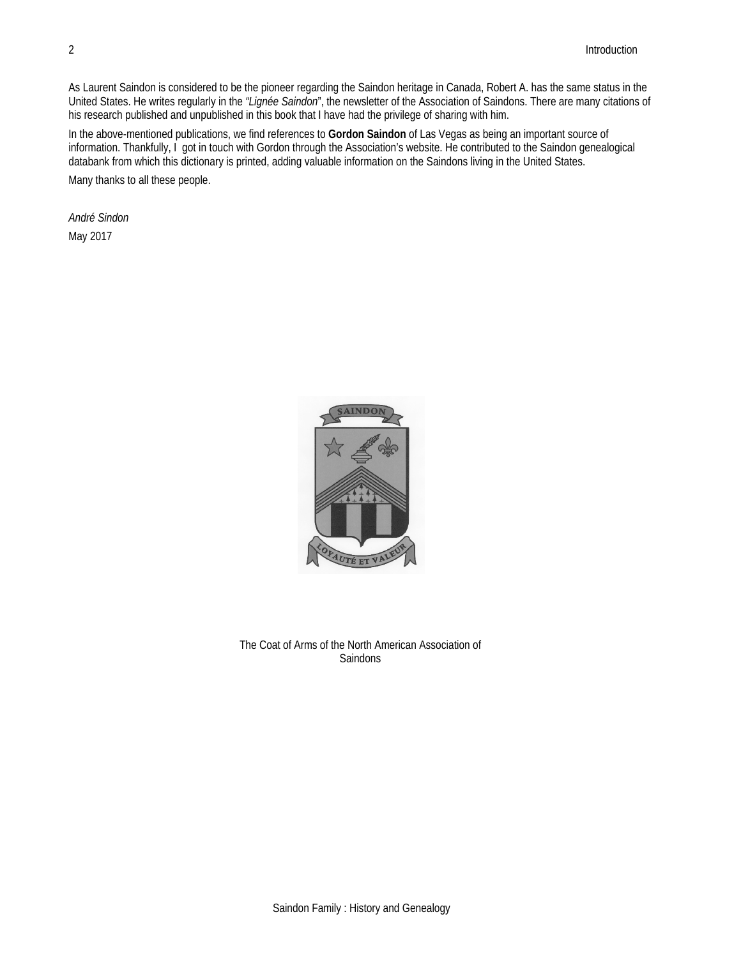As Laurent Saindon is considered to be the pioneer regarding the Saindon heritage in Canada, Robert A. has the same status in the United States. He writes regularly in the *"Lignée Saindon*", the newsletter of the Association of Saindons. There are many citations of his research published and unpublished in this book that I have had the privilege of sharing with him.

In the above-mentioned publications, we find references to **Gordon Saindon** of Las Vegas as being an important source of information. Thankfully, I got in touch with Gordon through the Association's website. He contributed to the Saindon genealogical databank from which this dictionary is printed, adding valuable information on the Saindons living in the United States. Many thanks to all these people.

*André Sindon*  May 2017



The Coat of Arms of the North American Association of **Saindons**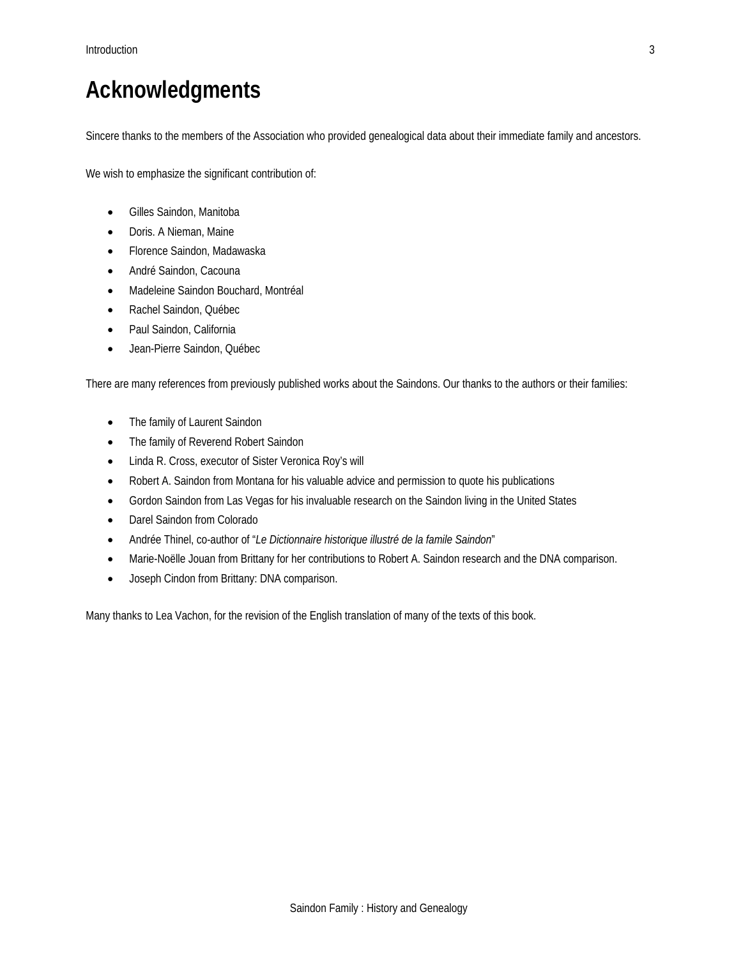## **Acknowledgments**

Sincere thanks to the members of the Association who provided genealogical data about their immediate family and ancestors.

We wish to emphasize the significant contribution of:

- Gilles Saindon, Manitoba
- Doris. A Nieman, Maine
- Florence Saindon, Madawaska
- André Saindon, Cacouna
- Madeleine Saindon Bouchard, Montréal
- Rachel Saindon, Québec
- Paul Saindon, California
- Jean-Pierre Saindon, Québec

There are many references from previously published works about the Saindons. Our thanks to the authors or their families:

- The family of Laurent Saindon
- The family of Reverend Robert Saindon
- Linda R. Cross, executor of Sister Veronica Roy's will
- Robert A. Saindon from Montana for his valuable advice and permission to quote his publications
- Gordon Saindon from Las Vegas for his invaluable research on the Saindon living in the United States
- Darel Saindon from Colorado
- Andrée Thinel, co-author of "*Le Dictionnaire historique illustré de la famile Saindon*"
- Marie-Noëlle Jouan from Brittany for her contributions to Robert A. Saindon research and the DNA comparison.
- Joseph Cindon from Brittany: DNA comparison.

Many thanks to Lea Vachon, for the revision of the English translation of many of the texts of this book.